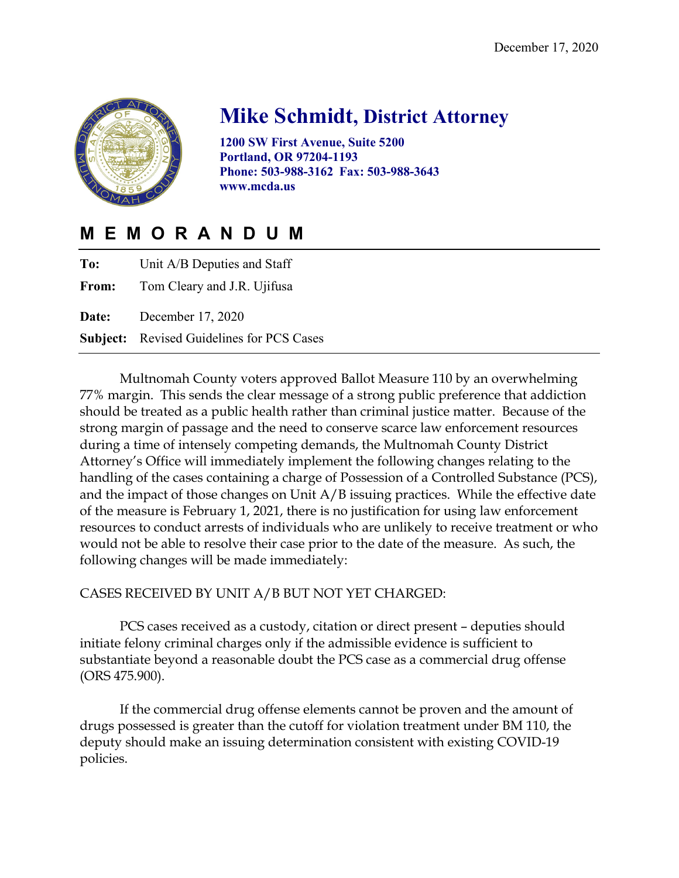

# **Mike Schmidt, District Attorney**

**1200 SW First Avenue, Suite 5200 Portland, OR 97204-1193 Phone: 503-988-3162 Fax: 503-988-3643 www.mcda.us**

# **MEMORANDUM**

| To: | Unit A/B Deputies and Staff                      |
|-----|--------------------------------------------------|
|     | <b>From:</b> Tom Cleary and J.R. Ujifusa         |
|     | <b>Date:</b> December 17, 2020                   |
|     | <b>Subject:</b> Revised Guidelines for PCS Cases |

Multnomah County voters approved Ballot Measure 110 by an overwhelming 77% margin. This sends the clear message of a strong public preference that addiction should be treated as a public health rather than criminal justice matter. Because of the strong margin of passage and the need to conserve scarce law enforcement resources during a time of intensely competing demands, the Multnomah County District Attorney's Office will immediately implement the following changes relating to the handling of the cases containing a charge of Possession of a Controlled Substance (PCS), and the impact of those changes on Unit A/B issuing practices. While the effective date of the measure is February 1, 2021, there is no justification for using law enforcement resources to conduct arrests of individuals who are unlikely to receive treatment or who would not be able to resolve their case prior to the date of the measure. As such, the following changes will be made immediately:

## CASES RECEIVED BY UNIT A/B BUT NOT YET CHARGED:

PCS cases received as a custody, citation or direct present – deputies should initiate felony criminal charges only if the admissible evidence is sufficient to substantiate beyond a reasonable doubt the PCS case as a commercial drug offense (ORS 475.900).

If the commercial drug offense elements cannot be proven and the amount of drugs possessed is greater than the cutoff for violation treatment under BM 110, the deputy should make an issuing determination consistent with existing COVID-19 policies.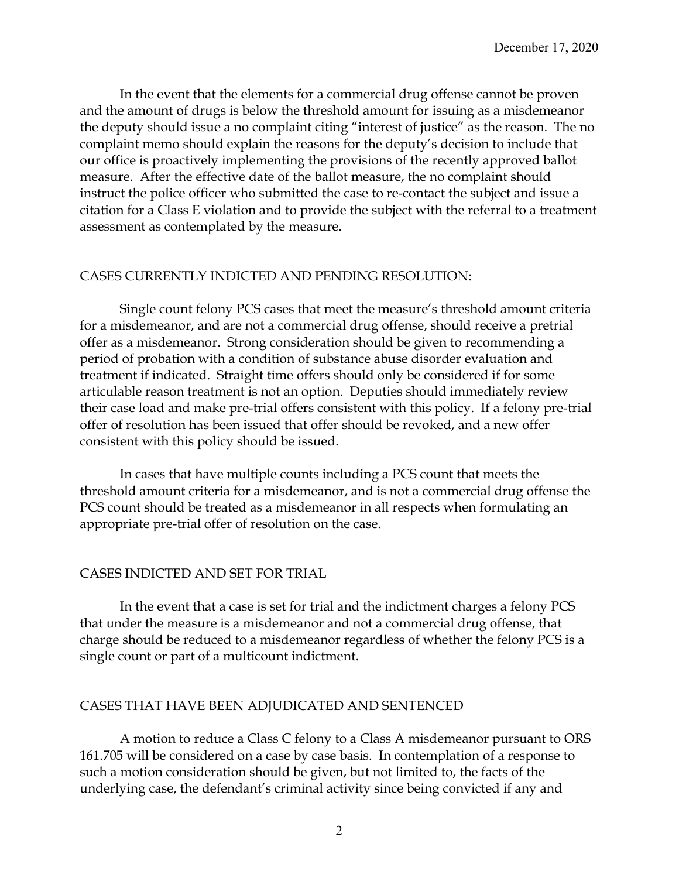In the event that the elements for a commercial drug offense cannot be proven and the amount of drugs is below the threshold amount for issuing as a misdemeanor the deputy should issue a no complaint citing "interest of justice" as the reason. The no complaint memo should explain the reasons for the deputy's decision to include that our office is proactively implementing the provisions of the recently approved ballot measure. After the effective date of the ballot measure, the no complaint should instruct the police officer who submitted the case to re-contact the subject and issue a citation for a Class E violation and to provide the subject with the referral to a treatment assessment as contemplated by the measure.

#### CASES CURRENTLY INDICTED AND PENDING RESOLUTION:

Single count felony PCS cases that meet the measure's threshold amount criteria for a misdemeanor, and are not a commercial drug offense, should receive a pretrial offer as a misdemeanor. Strong consideration should be given to recommending a period of probation with a condition of substance abuse disorder evaluation and treatment if indicated. Straight time offers should only be considered if for some articulable reason treatment is not an option. Deputies should immediately review their case load and make pre-trial offers consistent with this policy. If a felony pre-trial offer of resolution has been issued that offer should be revoked, and a new offer consistent with this policy should be issued.

In cases that have multiple counts including a PCS count that meets the threshold amount criteria for a misdemeanor, and is not a commercial drug offense the PCS count should be treated as a misdemeanor in all respects when formulating an appropriate pre-trial offer of resolution on the case.

## CASES INDICTED AND SET FOR TRIAL

In the event that a case is set for trial and the indictment charges a felony PCS that under the measure is a misdemeanor and not a commercial drug offense, that charge should be reduced to a misdemeanor regardless of whether the felony PCS is a single count or part of a multicount indictment.

#### CASES THAT HAVE BEEN ADJUDICATED AND SENTENCED

A motion to reduce a Class C felony to a Class A misdemeanor pursuant to ORS 161.705 will be considered on a case by case basis. In contemplation of a response to such a motion consideration should be given, but not limited to, the facts of the underlying case, the defendant's criminal activity since being convicted if any and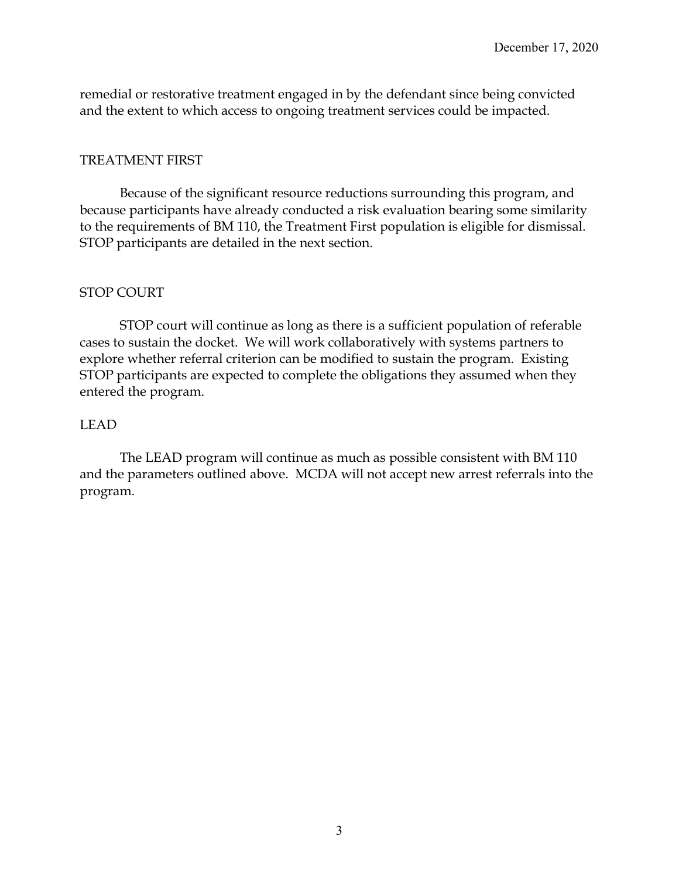remedial or restorative treatment engaged in by the defendant since being convicted and the extent to which access to ongoing treatment services could be impacted.

#### TREATMENT FIRST

Because of the significant resource reductions surrounding this program, and because participants have already conducted a risk evaluation bearing some similarity to the requirements of BM 110, the Treatment First population is eligible for dismissal. STOP participants are detailed in the next section.

#### STOP COURT

STOP court will continue as long as there is a sufficient population of referable cases to sustain the docket. We will work collaboratively with systems partners to explore whether referral criterion can be modified to sustain the program. Existing STOP participants are expected to complete the obligations they assumed when they entered the program.

#### LEAD

The LEAD program will continue as much as possible consistent with BM 110 and the parameters outlined above. MCDA will not accept new arrest referrals into the program.